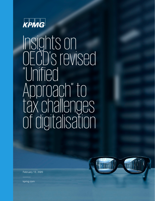

# Insights on OECD's revised "Unified Approach" to tax challenges of digitalisation

February 13, 2020



kpmg.com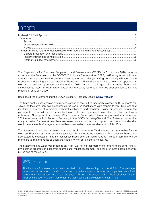## Contents

The Organisation for Economic Cooperation and Development (OECD) on 31 January 2020 issued a statement (the Statement) by the OECD/G20 Inclusive Framework on BEPS, reaffirming its commitment to reach a consensus-based long-term solution to the tax challenges arising from the digitalisation of the economy, and stating that the Inclusive Framework will continue following a two-pillar approach in working toward an agreement by the end of 2020. In aid of this goal, the Inclusive Framework announced its intent to reach agreement on the key policy features of the two-pillar solution by its next meeting in early July 2020.

Read about the Statement and the OECD release (31 January 2020): **[TaxNewsFlash](https://home.kpmg/us/en/home/insights/2020/01/tnf-oecd-update-digital-economy-tax-issues-pillar-one-agreement.html)**

The Statement is accompanied by a revised version of the Unified Approach released on 9 October 2019, which the Inclusive Framework adopted as the basis for negotiations with respect to Pillar One, and that identifies a number of remaining technical challenges and significant policy differences among the participants that would need to be resolved in order to reach agreement. In addition, the Statement takes note of a U.S. proposal to implement Pillar One on a "safe harbor" basis, as proposed in a December 2019 letter from the U.S. Treasury Secretary to the OECD Secretary-General. The Statement notes that many Inclusive Framework members expressed concern about the proposal, but that a final decision would be made only after agreement had been reached on the other elements of Pillar One.

The Statement is also accompanied by an updated Programme of Work setting out the timeline for the work on Pillar One and the remaining technical challenges to be addressed. The Inclusive Framework also stated its expectation that any consensus-based solution would need to include a commitment by members to implement the solution and withdraw relevant unilateral measures.

The Statement also welcomes progress on Pillar Two, noting that more work remains to be done. Finally, it welcomes progress on economic analysis and impact assessment, and calls for more detailed analysis by the end of March 2020.

## KPMG observation

The Inclusive Framework effectively decided to finish developing the overall Pillar One package before addressing the U.S. safe harbor proposal, which appears to represent a gamble that a final agreement with respect to the U.S. proposal will be more possible when the final shape of the Pillar One solution is known than when the technical and policy details are still in flux.

<sup>© 2020</sup> KPMG LLP, a Delaware limited liability partnership and the U.S. member firm of the KPMG network of independent member firms affiliated with KPMG International Cooperative ("KPMG International"), a Swiss entity. All rights reserved. Printed in the U.S.A. The KPMG name and logo are registered trademarks or trademarks of KPMG International.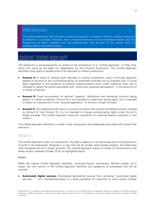## KPMG observation

The stated expectation that members would be expected to withdraw relevant unilateral measures is welcome. It is unclear, however, which unilateral measures will be considered relevant, and the Programme of Work indicates that this determination will be part of the overall work on implementation and administration.

# <span id="page-2-0"></span>Updated "Unified Approach"

The Statement is accompanied by an outline of the architecture of a "Unified Approach" to Pillar One, which will serve as the basis for negotiations by the Inclusive Framework. The Unified Approach identifies three types of taxable profit to be allocated to market jurisdictions:

- **Amount A:** A share of residual profit allocated to market jurisdictions using a formulaic approach applied at the level of the multinational group (or potentially business line by business line). It would apply regardless of the existence of physical presence-based nexus under traditional rules, and is intended to reflect the profits associated with "active and sustained participation" in the economy of a market jurisdiction.
- **Amount B:** Fixed remuneration for defined "baseline" distribution and marketing functions taking place in a market jurisdiction. Amount B is not intended to create new taxing rights, and is intended to reflect an improvement in the "practical application" of the arm's length principle.
- **Amount C:** Any additional profit due to in-country functions that exceed the baseline activity covered by Amount B. Like Amount B, it is not intended to change existing taxing rights under the arm's length principle. The Unified Approach notes the importance of improved dispute resolution in this context.

The Unified Approach identifies a number of key components and challenges associated with these three elements.

## <span id="page-2-1"></span>Amount A

The Unified Approach notes, at a broad level, the need to agree on a limited scope and a limited quantum of profit to be reallocated, designed in a way that will be simple, avoid double taxation, and effectively work alongside the arm's length principle. The Unified Approach makes a number of refinements to the earlier version released October 2019, as highlighted below:

#### <span id="page-2-2"></span>**Scope**

While the original Unified Approach identified "consumer-facing" businesses, defined broadly, as in scope, the new version of the Unified Approach identifies two categories of businesses that will be covered.

• **Automated digital services.** Businesses generating revenue from providing "automated digital services . . . on a standardized basis to a large population of customers or users across multiple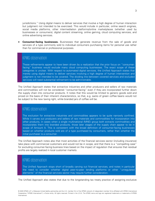jurisdictions." Using digital means to deliver services that involve a high degree of human interaction but judgment not intended to be exercised. This would include in particular, online search engines, social media platforms, other intermediation platforms/online marketplaces (whether used by businesses or consumers), digital content streaming, online gaming, cloud computing services, and online advertising services.

• **Consumer-facing businesses.** Businesses that generate revenue from the sale of goods and services of a type commonly sold to individual consumers purchasing items for personal use rather than for commercial or professional purposes.

## KPMG observation

These refinements appear to have been driven by a realization that the prior focus on "consumerfacing" business would exclude many cloud computing businesses. The exact scope of these categories is unclear. With respect to automated digital services, the Unified Approach states that merely using digital means to deliver services involving a high degree of human intervention and judgment is not intended to be covered. The dividing line between covered services and excluded services will need substantial refinement to be administrable.

The Unified Approach states that extractive industries and other producers and sellers of raw materials and commodities will not be considered "consumer-facing" even if they are incorporated further down the supply chain into consumer products. It notes that this would be limited to generic goods sold and priced on the basis of their inherent characteristics, so that, e.g. sacks of green coffee beans would not be subject to the new taxing right, while branded jars of coffee will be.

## KPMG observation

The exclusion for extractive industries and commodities appears to be quite narrowly confined. While it carves out producers and sellers of raw materials and commodities for incorporation into other products, in cases when a single multinational (MNE) group both extracts commodities and incorporates them into branded products, those later stages of the supply chain appear to be in scope of Amount A. This is consistent with the broad definition of consumer-facing businesses based on whether products sold are of a type purchased by consumers, rather than whether the initial purchaser is a consumer.

The Unified Approach notes also that most activities of the financial services sector (including insurance) take place with commercial customers and would not be in scope, and that there is a "compelling case" for excluding consumer-facing business lines based on the impact of regulation that ensures that residual profits are largely realized in local customer markets.

## KPMG observation

The Unified Approach stops short of broadly carving out financial services, and notes in particular the need to consider whether digital peer-to-peer lending platforms or other "unregulated elements" of the financial services sector may require further consideration.

The Unified Approach also states that due to the longstanding tax treaty practice of assigning exclusive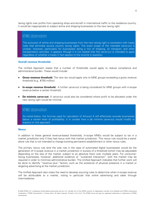taxing rights over profits from operating ships and aircraft in international traffic to the residence country, it would be inappropriate to subject airline and shipping businesses to the new taxing right.

## KPMG observation

The exclusion of airline and shipping businesses from the new taxing right is consistent with treaty rules that eliminate source country taxing rights. The exact scope of the intended carve-out is unclear, however, particularly for businesses doing a mix of shipping, air transport, and other transportation activities. It appears (though it is not stated) that this carve-out is intended to apply regardless of whether a treaty in fact applies to the income in question.

#### <span id="page-4-0"></span>**Overall revenue thresholds**

The Unified Approach states that a number of thresholds would apply to reduce compliance and administrative burden. These would include:

- **Gross revenue threshold.** The new tax would apply only to MNE groups exceeding a gross revenue threshold (e.g., €750 million).
- **In-scope revenue threshold.** A further carve-out is being considered for MNE groups with in-scope revenue below a certain threshold.
- **De minimis carve-out**. A carve-out could also be considered where profit to be allocated under the new taxing right would be minimal.

## KPMG observation

As noted below, the formula used for calculation of Amount A will effectively exclude businesses below a certain level of profitability. It is unclear how a de minimis carve-out would modify or expand on this approach.

#### <span id="page-4-1"></span>**Nexus**

In addition to these general revenue-based thresholds, in-scope MNEs would be subject to tax in a market jurisdiction only if they had nexus with that market jurisdiction. This nexus rule would be a standalone rule that is not intended to change existing permanent establishment or other nexus rules.

The primary nexus rule (and the sole rule in the case of automated digital businesses) would be the generation of in-scope revenue in a market jurisdiction in excess of a threshold (which may be adjustable depending on the size of the market, subject to an absolute floor) over multiple years. For consumerfacing businesses, however, additional evidence of "sustained interaction" with the market may be required in order to minimize administrative burden. The Unified Approach indicates that further work will be done to identify "revenue plus" factors, such as the existence of physical presence in a market or targeting advertising at the market jurisdiction.

The Unified Approach also notes the need to develop sourcing rules to determine when in-scope revenue will be attributable to a market, noting in particular that online advertising and sales through intermediaries.

<sup>© 2020</sup> KPMG LLP, a Delaware limited liability partnership and the U.S. member firm of the KPMG network of independent member firms affiliated with KPMG International Cooperative ("KPMG International"), a Swiss entity. All rights reserved. Printed in the U.S.A. The KPMG name and logo are registered trademarks or trademarks of KPMG International.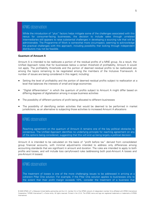#### KPMG observation

While the introduction of "plus" factors helps mitigate some of the challenges associated with this nexus for consumer-facing businesses, the decision to include sales through unrelated intermediaries still appears to raise substantial challenges in developing a sourcing rule that will be administrable. The Programme of Work is somewhat more circumspect, seeming to acknowledge the practical challenges with this approach, including possibility that looking through independent distributors may not be feasible.

#### **Quantum of Amount A**

Amount A is intended to be reallocate a portion of the residual profits of a MNE group. As a result, the Unified Approach notes that for businesses below a certain threshold of profitability, Amount A would not apply. The profitability thresholds and the portion of deemed residual profits to be reallocated are among the topics remaining to be negotiated among the members of the Inclusive Framework. A number of issues are being considered in this regard, including:

- Setting the level of profitability and the portion of deemed residual profits subject to reallocation at a level that balances the interests of small and large economies
- "Digital differentiation" in which the quantum of profits subject to Amount A might differ based on differing degrees of digitalisation among in-scope business activities
- The possibility of different portions of profit being allocated to different businesses
- The possibility of identifying certain activities that would be deemed to be performed in market jurisdictions, as an alternative to subjecting those activities to increased Amount A allocations

## KPMG observation

Reaching agreement on the quantum of Amount A remains one of the key political obstacles to consensus. The Unified Approach identifies no underlying principle for reaching agreement on any of the options being considered, suggesting that this will end up being largely a political decision.

Amount A is intended to be calculated on the basis of "profit before tax" derived from consolidated group financial accounts, with minimal adjustments intended to address only differences among accounting standards that are significant in amount and duration. The rules are intended to apply to both profits and losses, and will include loss carryforward rules (addressing both post-Amount A losses and pre-Amount A losses).

## KPMG observation

The treatment of losses is one of the more challenging issues to be addressed in arriving at a coherent Pillar One solution. For example, if the Pillar One solution applies to businesses only to the extent that their profit margin exceeds 10%, consider the treatment of a business that

<sup>© 2020</sup> KPMG LLP, a Delaware limited liability partnership and the U.S. member firm of the KPMG network of independent member firms affiliated with KPMG International Cooperative ("KPMG International"), a Swiss entity. All rights reserved. Printed in the U.S.A. The KPMG name and logo are registered trademarks or trademarks of KPMG International.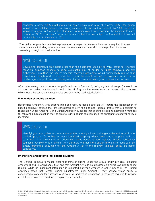consistently earns a 5% profit margin but has a single year in which it earns 20%. One option would be to treat that business as having exceeded the Amount A threshold by 10%, so that it would be subject to Amount A in that year. Another would be to consider the business to carry forward a 5% "residual loss" from prior years so that it is only subject to Amount A if its overall profitability over time exceeds 10%.

The Unified Approach notes that segmentation by region or business line may be required in some circumstances, including where out-of-scope revenues are material or where profitability varies materially by region or business line.

#### KPMG observation

Developing segments on a basis other than the segments used by an MNE group for financial reporting purposes appears to raise substantial risk of burden for both taxpayers and tax authorities. Permitting the use of financial reporting segments would substantially reduce that complexity, though work would need to be done to allocate centralized expenses to arrive at a reliable figure for profit and loss by segment that is consistent with group consolidated income.

After determining the total amount of profit included in Amount A, taxing rights to those profits would be allocated to market jurisdictions in which the MNE group has nexus using an agreed allocation key, which would be based on in-scope sales sourced to the market jurisdiction.

#### **Elimination of double taxation**

Reconciling Amount A with existing rules and relieving double taxation will require the identification of specific taxpayer entities that are considered to own the deemed residual profits that are subject to reallocation under Amount A. The Unified Approach suggests that existing credit and exemption methods for relieving double taxation may be able to relieve double taxation once the appropriate taxpayer entity is identified.

#### KPMG observation

Identifying an appropriate taxpayer is one of the more significant challenges to be addressed in the Unified Approach. Once that taxpayer is identified, adapting existing credit and exemption methods to Amount A in a way that will effectively relieve double taxation appears to raise substantial additional complexity. It is unclear from the draft whether more straightforward methods such as simply granting a deduction for the Amount A tax to the relevant taxpayer entity are being considered.

#### **Interactions and potential for double counting**

The Unified Framework makes clear that transfer pricing under the arm's length principle (including Amounts B and C) would apply first, and that Amount A would be allocated as a partial override to those results. While no significant interaction is expected between Amount A and Amount B, the Unified Approach notes that transfer pricing adjustments under Amount C may change which entity is considered a taxpayer for purposes of Amount A, and which jurisdiction is therefore required to provide relief. Further work will be done to explore this interaction.

<sup>© 2020</sup> KPMG LLP, a Delaware limited liability partnership and the U.S. member firm of the KPMG network of independent member firms affiliated with KPMG International Cooperative ("KPMG International"), a Swiss entity. All rights reserved. Printed in the U.S.A. The KPMG name and logo are registered trademarks or trademarks of KPMG International.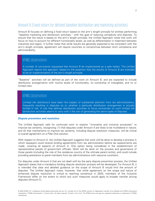## <span id="page-7-0"></span>Amount B (Fixed return for defined baseline distribution and marketing activities)

Amount B focuses on defining a fixed return based on the arm's length principle for entities performing "baseline marketing and distribution activities," with the goal of reducing complexity and disputes. To ensure that the result is based on the arm's length principle, the Unified Approach notes that work will focus on how to account for different functionality levels, as well as differentiation in treatment between industries and region. It further notes that while results are generally expected to be consistent with the arm's length principle, agreement will require countries to compromise between strict compliance and administrability.

#### KPMG observation

A number of comments requested that Amount B be implemented as a safe harbor. The Unified Approach rejects this approach, based on the assertion that the results of Amount B are intended to be an implementation of the arm's length principle.

"Baseline" activities will be defined as part of the work on Amount B, and are expected to include distribution arrangements with routine levels of functionality, no ownership of intangibles, and no or limited risks.

## KPMG observation

Limited risk distributors have been the subject of substantial attention from tax administrations, frequently resulting in disputes as to whether a particular distribution arrangement is actually limited in risk. A rule that defines distribution activities to focus exclusively on such limited risk distribution activities seems to carry with it the risk of generating the same types of disputes.

#### <span id="page-7-1"></span>**Dispute prevention and resolution**

The Unified Approach calls for continued work to explore "innovative and inclusive processes" to improve tax certainty, recognizing: (1) that disputes under Amount A are likely to be multilateral in nature; and (2) that mechanisms to improve tax certainty, including dispute resolution measures, will be critical to overall agreement on a Pillar One solution.

With respect to Amount A, the Unified Approach suggests that work will be done to develop a process in which taxpayers could receive binding agreements from tax administration before tax assessments are made, covering all aspects of Amount A. One option being considered is the establishment of representative panels of government officials. Work will be done on the process and governance of those panels (including the role of the residence country of the ultimate parent entity), and could include providing assistance to panel members from tax administrations with resource constraint.

For disputes under Amount A that are not dealt with by the early dispute prevention process, the Unified Approach states that a mandatory binding dispute resolution process will be developed. For Amount B, it is intended that clear and detailed guidance on the scope of Amount B would limit the amount of disputes. The Unified Approach notes, however, that while agreement on the scope and nature of enhanced dispute resolution is critical to reaching consensus in 2020, members of the Inclusive Framework differ on the extent to which any such measures would apply to broader transfer pricing disputes (Amount C).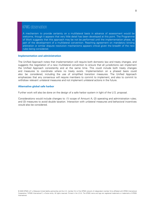#### KPMG observation

A mechanism to provide certainty on a multilateral basis in advance of assessment would be welcome, though it appears that very little detail has been developed at this point. The Programme of Work suggests that this approach may be not be performed until the implementation phase, as part of the development of a multilateral convention. Reaching agreement on mandatory binding arbitration or similar dispute resolution mechanisms appears critical given the breadth of the new rules being considered.

#### <span id="page-8-0"></span>**Implementation and administration**

The Unified Approach notes that implementation will require both domestic law and treaty changes, and suggests the negotiation of a new multilateral convention to ensure that all jurisdictions can implement the Unified Approach consistently and at the same time. This could include both treaty changes and measures to coordinate where no treaty exists. Implementation on a phased basis could also be considered, including the use of simplified transition measures. The Unified Approach emphasizes that any consensus will require members to commit to implement, and also to commit to withdraw relevant unilateral measures and not implement unilateral actions in the future.

#### <span id="page-8-1"></span>**Alternative global safe harbor**

Further work will also be done on the design of a safe harbor system in light of the U.S. proposal.

Considerations would include changes to: (1) scope of Amount A; (2) operating and administration rules; and (3) measures to avoid double taxation. Interaction with unilateral measures and behavioral incentives would also be considered.